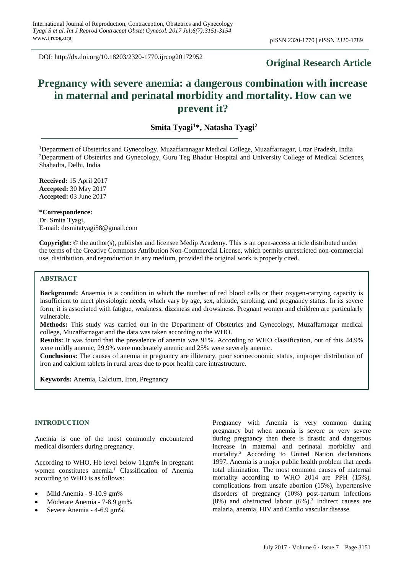DOI: http://dx.doi.org/10.18203/2320-1770.ijrcog20172952

# **Original Research Article**

# **Pregnancy with severe anemia: a dangerous combination with increase in maternal and perinatal morbidity and mortality. How can we prevent it?**

# **Smita Tyagi<sup>1</sup>\*, Natasha Tyagi<sup>2</sup>**

<sup>1</sup>Department of Obstetrics and Gynecology, Muzaffaranagar Medical College, Muzaffarnagar, Uttar Pradesh, India <sup>2</sup>Department of Obstetrics and Gynecology, Guru Teg Bhadur Hospital and University College of Medical Sciences, Shahadra, Delhi, India

**Received:** 15 April 2017 **Accepted:** 30 May 2017 **Accepted:** 03 June 2017

**\*Correspondence:** Dr. Smita Tyagi, E-mail: drsmitatyagi58@gmail.com

**Copyright:** © the author(s), publisher and licensee Medip Academy. This is an open-access article distributed under the terms of the Creative Commons Attribution Non-Commercial License, which permits unrestricted non-commercial use, distribution, and reproduction in any medium, provided the original work is properly cited.

# **ABSTRACT**

**Background:** Anaemia is a condition in which the number of red blood cells or their oxygen-carrying capacity is insufficient to meet physiologic needs, which vary by age, sex, altitude, smoking, and pregnancy status. In its severe form, it is associated with fatigue, weakness, dizziness and drowsiness. Pregnant women and children are particularly vulnerable.

**Methods:** This study was carried out in the Department of Obstetrics and Gynecology, Muzaffarnagar medical college, Muzaffarnagar and the data was taken according to the WHO.

**Results:** It was found that the prevalence of anemia was 91%. According to WHO classification, out of this 44.9% were mildly anemic, 29.9% were moderately anemic and 25% were severely anemic.

**Conclusions:** The causes of anemia in pregnancy are illiteracy, poor socioeconomic status, improper distribution of iron and calcium tablets in rural areas due to poor health care intrastructure.

**Keywords:** Anemia, Calcium, Iron, Pregnancy

# **INTRODUCTION**

Anemia is one of the most commonly encountered medical disorders during pregnancy.

According to WHO, Hb level below 11gm% in pregnant women constitutes anemia.<sup>1</sup> Classification of Anemia according to WHO is as follows:

- Mild Anemia 9-10.9 gm%
- Moderate Anemia 7-8.9 gm%
- Severe Anemia 4-6.9 gm%

Pregnancy with Anemia is very common during pregnancy but when anemia is severe or very severe during pregnancy then there is drastic and dangerous increase in maternal and perinatal morbidity and mortality.<sup>2</sup> According to United Nation declarations 1997, Anemia is a major public health problem that needs total elimination. The most common causes of maternal mortality according to WHO 2014 are PPH (15%), complications from unsafe abortion (15%), hypertensive disorders of pregnancy (10%) post-partum infections  $(8\%)$  and obstructed labour  $(6\%)$ .<sup>3</sup> Indirect causes are malaria, anemia, HIV and Cardio vascular disease.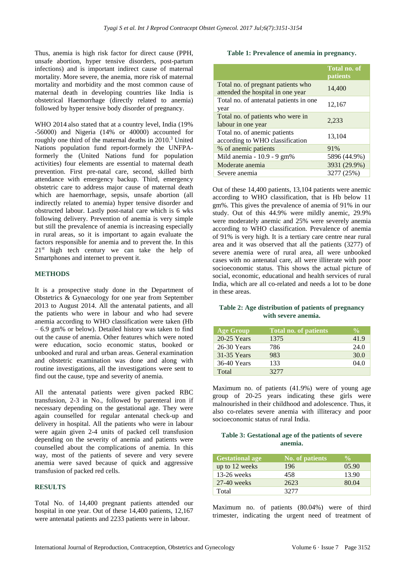Thus, anemia is high risk factor for direct cause (PPH, unsafe abortion, hyper tensive disorders, post-partum infections) and is important indirect cause of maternal mortality. More severe, the anemia, more risk of maternal mortality and morbidity and the most common cause of maternal death in developing countries like India is obstetrical Haemorrhage (directly related to anemia) followed by hyper tensive body disorder of pregnancy.

WHO 2014 also stated that at a country level, India (19% -56000) and Nigeria (14% or 40000) accounted for roughly one third of the maternal deaths in 2010.<sup>3</sup> United Nations population fund report-formely the UNFPAformerly the (United Nations fund for population activities) four elements are essential to maternal death prevention. First pre-natal care, second, skilled birth attendance with emergency backup. Third, emergency obstetric care to address major cause of maternal death which are haemorrhage, sepsis, unsafe abortion (all indirectly related to anemia) hyper tensive disorder and obstructed labour. Lastly post-natal care which is 6 wks following delivery. Prevention of anemia is very simple but still the prevalence of anemia is increasing especially in rural areas, so it is important to again evaluate the factors responsible for anemia and to prevent the. In this 21<sup>st</sup> high tech century we can take the help of Smartphones and internet to prevent it.

#### **METHODS**

It is a prospective study done in the Department of Obstetrics & Gynaecology for one year from September 2013 to August 2014. All the antenatal patients, and all the patients who were in labour and who had severe anemia according to WHO classification were taken (Hb – 6.9 gm% or below). Detailed history was taken to find out the cause of anemia. Other features which were noted were education, socio economic status, booked or unbooked and rural and urban areas. General examination and obstetric examination was done and along with routine investigations, all the investigations were sent to find out the cause, type and severity of anemia.

All the antenatal patients were given packed RBC transfusion, 2-3 in No., followed by parenteral iron if necessary depending on the gestational age. They were again counselled for regular antenatal check-up and delivery in hospital. All the patients who were in labour were again given 2-4 units of packed cell transfusion depending on the severity of anemia and patients were counselled about the complications of anemia. In this way, most of the patients of severe and very severe anemia were saved because of quick and aggressive transfusion of packed red cells.

#### **RESULTS**

Total No. of 14,400 pregnant patients attended our hospital in one year. Out of these 14,400 patients, 12,167 were antenatal patients and 2233 patients were in labour.

#### **Table 1: Prevalence of anemia in pregnancy.**

|                                                                         | Total no. of<br>patients |
|-------------------------------------------------------------------------|--------------------------|
| Total no. of pregnant patients who<br>attended the hospital in one year | 14,400                   |
| Total no. of antenatal patients in one<br>year                          | 12,167                   |
| Total no. of patients who were in<br>labour in one year                 | 2,233                    |
| Total no. of anemic patients<br>according to WHO classification         | 13,104                   |
| % of anemic patients                                                    | 91%                      |
| Mild anemia - $10.9 - 9$ gm%                                            | 5896 (44.9%)             |
| Moderate anemia                                                         | 3931 (29.9%)             |
| Severe anemia                                                           | 3277 (25%)               |

Out of these 14,400 patients, 13,104 patients were anemic according to WHO classification, that is Hb below 11 gm%. This gives the prevalence of anemia of 91% in our study. Out of this 44.9% were mildly anemic, 29.9% were moderately anemic and 25% were severely anemia according to WHO classification. Prevalence of anemia of 91% is very high. It is a tertiary care centre near rural area and it was observed that all the patients (3277) of severe anemia were of rural area, all were unbooked cases with no antenatal care, all were illiterate with poor socioeconomic status. This shows the actual picture of social, economic, educational and health services of rural India, which are all co-related and needs a lot to be done in these areas.

# **Table 2: Age distribution of patients of pregnancy with severe anemia.**

| <b>Age Group</b> | Total no. of patients | $\frac{9}{6}$ |
|------------------|-----------------------|---------------|
| 20-25 Years      | 1375                  | 41.9          |
| 26-30 Years      | 786                   | 24.0          |
| 31-35 Years      | 983                   | 30.0          |
| 36-40 Years      | 133                   | 04.0          |
| Total            | 32.77                 |               |

Maximum no. of patients (41.9%) were of young age group of 20-25 years indicating these girls were malnourished in their childhood and adolescence. Thus, it also co-relates severe anemia with illiteracy and poor socioeconomic status of rural India.

#### **Table 3: Gestational age of the patients of severe anemia.**

| <b>Gestational age</b> | <b>No. of patients</b> | $\frac{0}{\alpha}$ |
|------------------------|------------------------|--------------------|
| up to 12 weeks         | 196                    | 05.90              |
| $13-26$ weeks          | 458                    | 13.90              |
| $27-40$ weeks          | 2623                   | 80.04              |
| Total                  | 32.77                  |                    |

Maximum no. of patients (80.04%) were of third trimester, indicating the urgent need of treatment of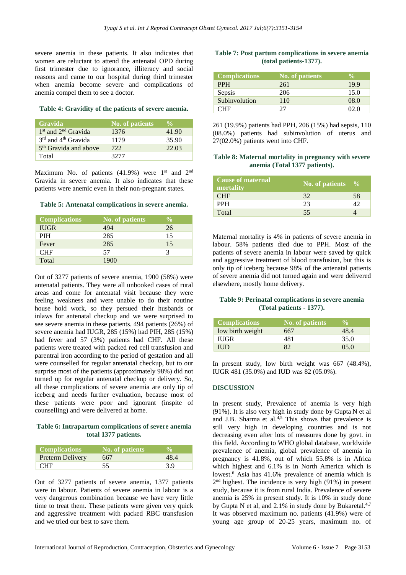severe anemia in these patients. It also indicates that women are reluctant to attend the antenatal OPD during first trimester due to ignorance, illiteracy and social reasons and came to our hospital during third trimester when anemia become severe and complications of anemia compel them to see a doctor.

#### **Table 4: Gravidity of the patients of severe anemia.**

| <b>Gravida</b>                    | <b>No. of patients</b> | $\frac{6}{10}$ |
|-----------------------------------|------------------------|----------------|
| $1st$ and $2nd$ Gravida           | 1376                   | 41.90          |
| $3rd$ and $4th$ Gravida           | 1179                   | 35.90          |
| 5 <sup>th</sup> Gravida and above | 722                    | 22.03          |
| Total                             | 32.77                  |                |

Maximum No. of patients  $(41.9%)$  were 1<sup>st</sup> and 2<sup>nd</sup> Gravida in severe anemia. It also indicates that these patients were anemic even in their non-pregnant states.

#### **Table 5: Antenatal complications in severe anemia.**

| <b>Complications</b> | No. of patients | $\frac{0}{0}$ |
|----------------------|-----------------|---------------|
| <b>IUGR</b>          | 494             | 26            |
| <b>PIH</b>           | 285             | 15            |
| Fever                | 285             | 15            |
| <b>CHF</b>           | 57              |               |
| Total                | 1900            |               |

Out of 3277 patients of severe anemia, 1900 (58%) were antenatal patients. They were all unbooked cases of rural areas and come for antenatal visit because they were feeling weakness and were unable to do their routine house hold work, so they persued their husbands or inlaws for antenatal checkup and we were surprised to see severe anemia in these patients. 494 patients (26%) of severe anemia had IUGR, 285 (15%) had PIH, 285 (15%) had fever and 57 (3%) patients had CHF. All these patients were treated with packed red cell transfusion and parentral iron according to the period of gestation and all were counselled for regular antenatal checkup, but to our surprise most of the patients (approximately 98%) did not turned up for regular antenatal checkup or delivery. So, all these complications of severe anemia are only tip of iceberg and needs further evaluation, because most of these patients were poor and ignorant (inspite of counselling) and were delivered at home.

# **Table 6: Intrapartum complications of severe anemia total 1377 patients.**

| Complications           | No. of patients |      |
|-------------------------|-----------------|------|
| <b>Preterm Delivery</b> | 667             | 48 4 |
| <b>CHF</b>              |                 | 3.9  |

Out of 3277 patients of severe anemia, 1377 patients were in labour. Patients of severe anemia in labour is a very dangerous combination because we have very little time to treat them. These patients were given very quick and aggressive treatment with packed RBC transfusion and we tried our best to save them.

#### **Table 7: Post partum complications in severe anemia (total patients-1377).**

| <b>Complications</b> | No. of patients |      |
|----------------------|-----------------|------|
| <b>PPH</b>           | 261             | 19.9 |
| Sepsis               | 206             | 15.0 |
| Subinvolution        | 110             | 08.0 |
| าµғ                  |                 | በን በ |

261 (19.9%) patients had PPH, 206 (15%) had sepsis, 110 (08.0%) patients had subinvolution of uterus and 27(02.0%) patients went into CHF.

#### **Table 8: Maternal mortality in pregnancy with severe anemia (Total 1377 patients).**

| <b>Cause of maternal</b><br>mortality | No. of patients $\%$ |    |
|---------------------------------------|----------------------|----|
| <b>CHF</b>                            | 32                   | 58 |
| <b>PPH</b>                            | 23                   |    |
| Total                                 | 55                   |    |

Maternal mortality is 4% in patients of severe anemia in labour. 58% patients died due to PPH. Most of the patients of severe anemia in labour were saved by quick and aggressive treatment of blood transfusion, but this is only tip of iceberg because 98% of the antenatal patients of severe anemia did not turned again and were delivered elsewhere, mostly home delivery.

# **Table 9: Perinatal complications in severe anemia (Total patients - 1377).**

| <b>Complications</b> | No. of patients | $\frac{6}{10}$ |
|----------------------|-----------------|----------------|
| low birth weight     | 667             | 48.4           |
| <b>IUGR</b>          | 481             | 35.0           |
| IUD.                 | 82              | 05.0           |

In present study, low birth weight was 667 (48.4%), IUGR 481 (35.0%) and IUD was 82 (05.0%).

# **DISCUSSION**

In present study, Prevalence of anemia is very high (91%). It is also very high in study done by Gupta N et al and J.B. Sharma et al. $4,5$  This shows that prevalence is still very high in developing countries and is not decreasing even after lots of measures done by govt. in this field. According to WHO global database, worldwide prevalence of anemia, global prevalence of anemia in pregnancy is 41.8%, out of which 55.8% is in Africa which highest and 6.1% is in North America which is lowest.<sup>6</sup> Asia has 41.6% prevalence of anemia which is 2<sup>nd</sup> highest. The incidence is very high (91%) in present study, because it is from rural India. Prevalence of severe anemia is 25% in present study. It is 10% in study done by Gupta N et al, and 2.1% in study done by Bukaretal.<sup>4,7</sup> It was observed maximum no. patients (41.9%) were of young age group of 20-25 years, maximum no. of